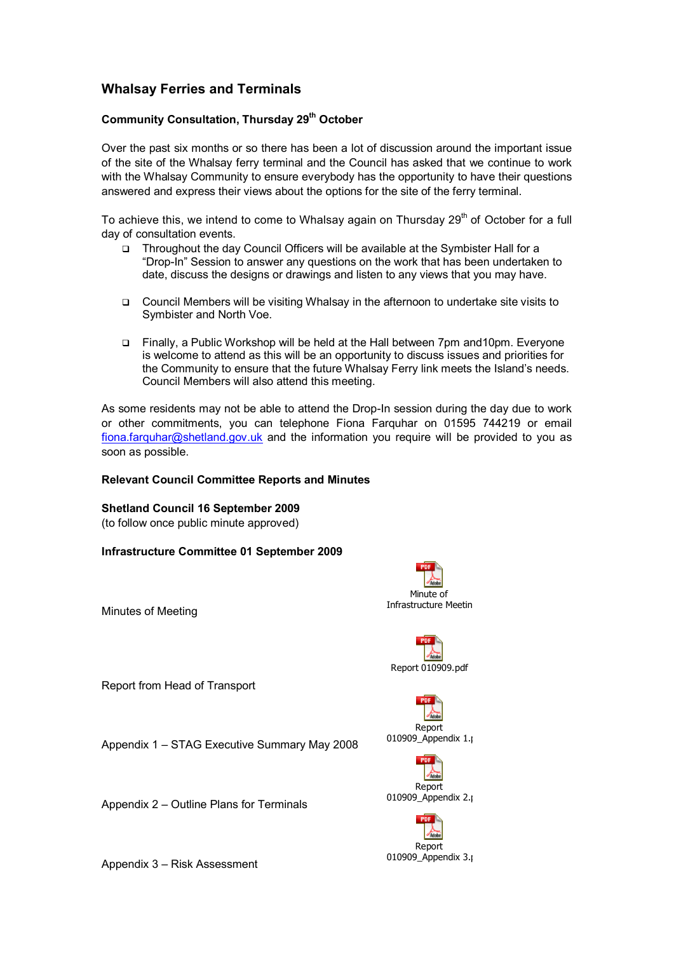## **Whalsay Ferries and Terminals**

### **Community Consultation, Thursday 29 th October**

Over the past six months or so there has been a lot of discussion around the important issue of the site of the Whalsay ferry terminal and the Council has asked that we continue to work with the Whalsay Community to ensure everybody has the opportunity to have their questions answered and express their views about the options for the site of the ferry terminal.

To achieve this, we intend to come to Whalsay again on Thursday  $29<sup>th</sup>$  of October for a full day of consultation events.

- Throughout the day Council Officers will be available at the Symbister Hall for a "Drop-In" Session to answer any questions on the work that has been undertaken to date, discuss the designs or drawings and listen to any views that you may have.
- Council Members will be visiting Whalsay in the afternoon to undertake site visits to Symbister and North Voe.
- Finally, a Public Workshop will be held at the Hall between 7pm and10pm. Everyone is welcome to attend as this will be an opportunity to discuss issues and priorities for the Community to ensure that the future Whalsay Ferry link meets the Island's needs. Council Members will also attend this meeting.

As some residents may not be able to attend the Drop-In session during the day due to work or other commitments, you can telephone Fiona Farquhar on 01595 744219 or email [fiona.farquhar@shetland.gov.uk](mailto:fiona.farquhar@shetland.gov.uk) and the information you require will be provided to you as soon as possible.

#### **Relevant Council Committee Reports and Minutes**

**Shetland Council 16 September 2009** (to follow once public minute approved)

**Infrastructure Committee 01 September 2009**

Minutes of Meeting

Report from Head of Transport

Appendix 1 – STAG Executive Summary May 2008

Appendix 2 – Outline Plans for Terminals

Appendix 3 – Risk Assessment









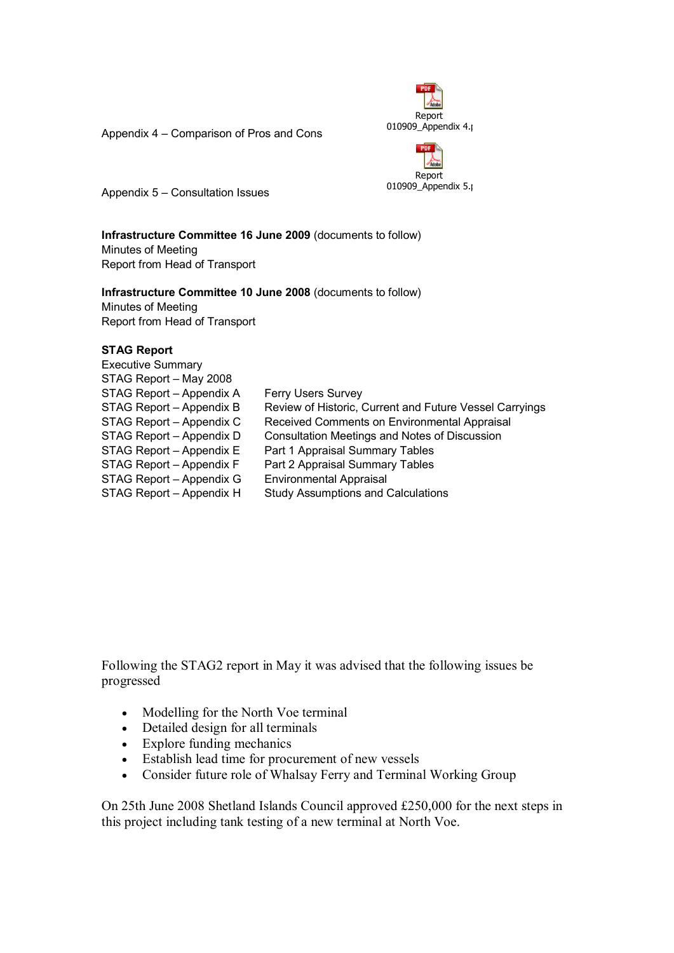

Appendix 4 – Comparison of Pros and Cons



Appendix 5 – Consultation Issues

**Infrastructure Committee 16 June 2009** (documents to follow) Minutes of Meeting Report from Head of Transport

# **Infrastructure Committee 10 June 2008** (documents to follow) Minutes of Meeting

Report from Head of Transport

## **STAG Report**

| <b>Executive Summary</b> |                                                         |
|--------------------------|---------------------------------------------------------|
| STAG Report - May 2008   |                                                         |
| STAG Report - Appendix A | Ferry Users Survey                                      |
| STAG Report - Appendix B | Review of Historic, Current and Future Vessel Carryings |
| STAG Report - Appendix C | Received Comments on Environmental Appraisal            |
| STAG Report - Appendix D | Consultation Meetings and Notes of Discussion           |
| STAG Report - Appendix E | Part 1 Appraisal Summary Tables                         |
| STAG Report - Appendix F | Part 2 Appraisal Summary Tables                         |
| STAG Report - Appendix G | <b>Environmental Appraisal</b>                          |
| STAG Report - Appendix H | <b>Study Assumptions and Calculations</b>               |
|                          |                                                         |

Following the STAG2 report in May it was advised that the following issues be progressed

- Modelling for the North Voe terminal
- Detailed design for all terminals
- Explore funding mechanics
- Establish lead time for procurement of new vessels
- Consider future role of Whalsay Ferry and Terminal Working Group

On 25th June 2008 Shetland Islands Council approved £250,000 for the next steps in this project including tank testing of a new terminal at North Voe.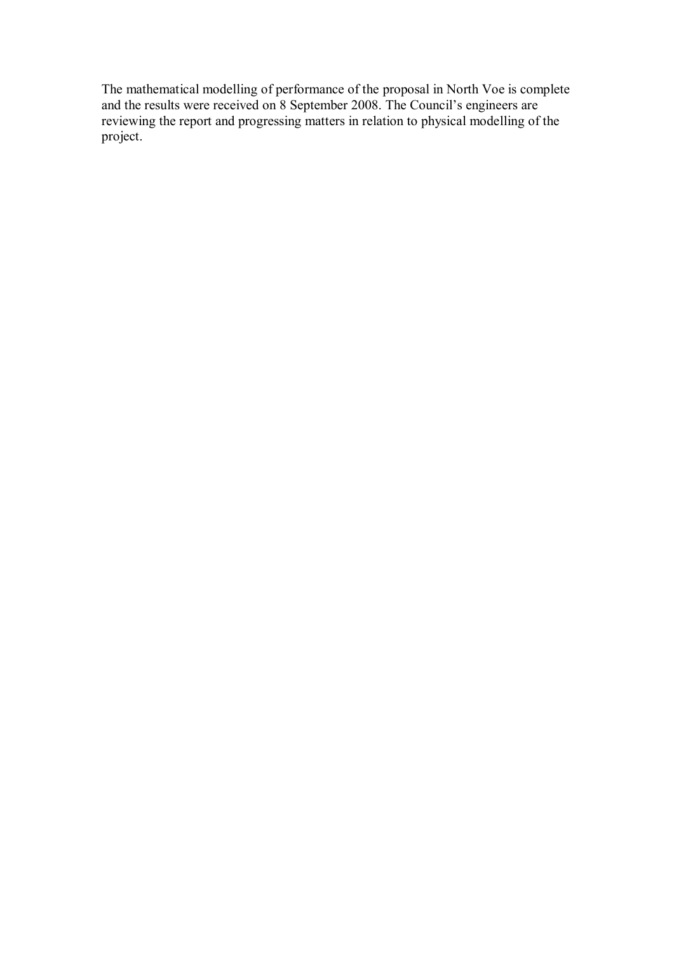The mathematical modelling of performance of the proposal in North Voe is complete and the results were received on 8 September 2008. The Council's engineers are reviewing the report and progressing matters in relation to physical modelling of the project.